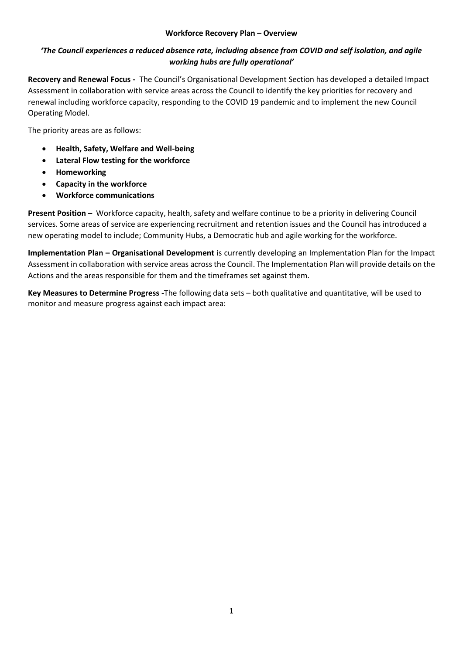## **Workforce Recovery Plan – Overview**

## *'The Council experiences a reduced absence rate, including absence from COVID and self isolation, and agile working hubs are fully operational'*

**Recovery and Renewal Focus -** The Council's Organisational Development Section has developed a detailed Impact Assessment in collaboration with service areas across the Council to identify the key priorities for recovery and renewal including workforce capacity, responding to the COVID 19 pandemic and to implement the new Council Operating Model.

The priority areas are as follows:

- **Health, Safety, Welfare and Well-being**
- **Lateral Flow testing for the workforce**
- **Homeworking**
- **Capacity in the workforce**
- **Workforce communications**

**Present Position –** Workforce capacity, health, safety and welfare continue to be a priority in delivering Council services. Some areas of service are experiencing recruitment and retention issues and the Council has introduced a new operating model to include; Community Hubs, a Democratic hub and agile working for the workforce.

**Implementation Plan – Organisational Development** is currently developing an Implementation Plan for the Impact Assessment in collaboration with service areas across the Council. The Implementation Plan will provide details on the Actions and the areas responsible for them and the timeframes set against them.

**Key Measures to Determine Progress -**The following data sets – both qualitative and quantitative, will be used to monitor and measure progress against each impact area: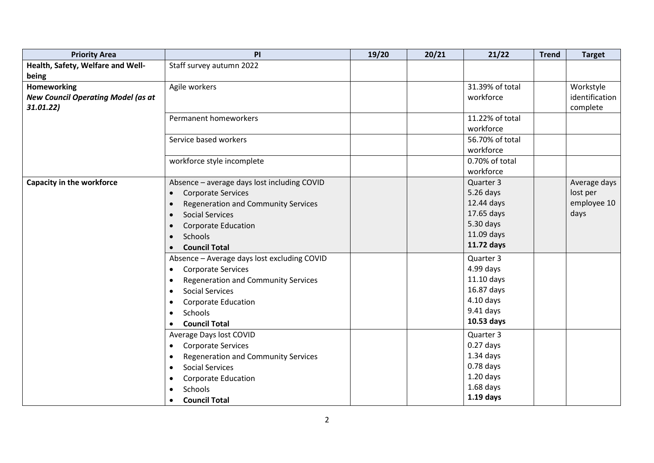| <b>Priority Area</b>                      | PI                                                      | 19/20 | 20/21 | 21/22           | <b>Trend</b> | <b>Target</b>  |
|-------------------------------------------|---------------------------------------------------------|-------|-------|-----------------|--------------|----------------|
| Health, Safety, Welfare and Well-         | Staff survey autumn 2022                                |       |       |                 |              |                |
| being                                     |                                                         |       |       |                 |              |                |
| Homeworking                               | Agile workers                                           |       |       | 31.39% of total |              | Workstyle      |
| <b>New Council Operating Model (as at</b> |                                                         |       |       | workforce       |              | identification |
| 31.01.22)                                 |                                                         |       |       |                 |              | complete       |
|                                           | Permanent homeworkers                                   |       |       | 11.22% of total |              |                |
|                                           |                                                         |       |       | workforce       |              |                |
|                                           | Service based workers                                   |       |       | 56.70% of total |              |                |
|                                           |                                                         |       |       | workforce       |              |                |
|                                           | workforce style incomplete                              |       |       | 0.70% of total  |              |                |
|                                           |                                                         |       |       | workforce       |              |                |
| <b>Capacity in the workforce</b>          | Absence - average days lost including COVID             |       |       | Quarter 3       |              | Average days   |
|                                           | <b>Corporate Services</b><br>$\bullet$                  |       |       | 5.26 days       |              | lost per       |
|                                           | <b>Regeneration and Community Services</b><br>$\bullet$ |       |       | 12.44 days      |              | employee 10    |
|                                           | <b>Social Services</b><br>$\bullet$                     |       |       | 17.65 days      |              | days           |
|                                           | <b>Corporate Education</b><br>$\bullet$                 |       |       | 5.30 days       |              |                |
|                                           | <b>Schools</b><br>$\bullet$                             |       |       | 11.09 days      |              |                |
|                                           | <b>Council Total</b>                                    |       |       | 11.72 days      |              |                |
|                                           | Absence - Average days lost excluding COVID             |       |       | Quarter 3       |              |                |
|                                           | <b>Corporate Services</b><br>$\bullet$                  |       |       | $4.99$ days     |              |                |
|                                           | <b>Regeneration and Community Services</b><br>$\bullet$ |       |       | 11.10 days      |              |                |
|                                           | <b>Social Services</b><br>$\bullet$                     |       |       | 16.87 days      |              |                |
|                                           | <b>Corporate Education</b><br>٠                         |       |       | $4.10$ days     |              |                |
|                                           | Schools<br>$\bullet$                                    |       |       | 9.41 days       |              |                |
|                                           | <b>Council Total</b>                                    |       |       | 10.53 days      |              |                |
|                                           | Average Days lost COVID                                 |       |       | Quarter 3       |              |                |
|                                           | <b>Corporate Services</b><br>$\bullet$                  |       |       | $0.27$ days     |              |                |
|                                           | <b>Regeneration and Community Services</b><br>$\bullet$ |       |       | $1.34$ days     |              |                |
|                                           | <b>Social Services</b><br>$\bullet$                     |       |       | $0.78$ days     |              |                |
|                                           | <b>Corporate Education</b><br>$\bullet$                 |       |       | $1.20$ days     |              |                |
|                                           | Schools<br>$\bullet$                                    |       |       | $1.68$ days     |              |                |
|                                           | <b>Council Total</b><br>$\bullet$                       |       |       | $1.19$ days     |              |                |